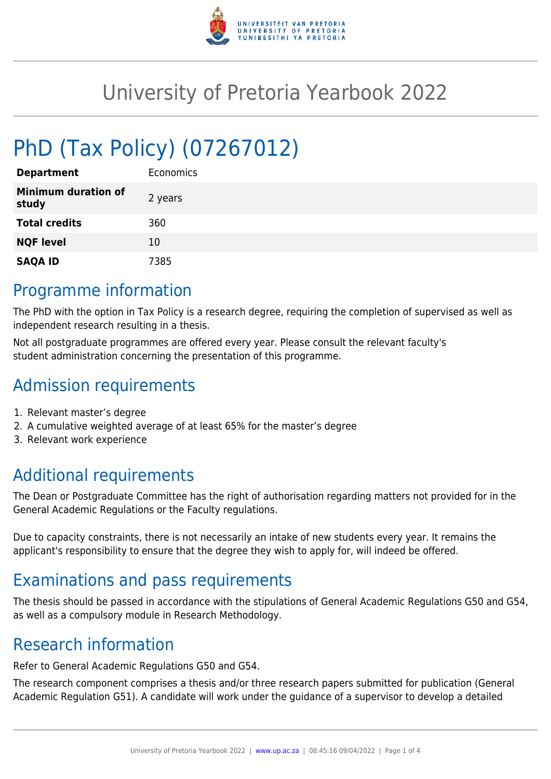

# University of Pretoria Yearbook 2022

# PhD (Tax Policy) (07267012)

| <b>Department</b>                   | <b>Economics</b> |
|-------------------------------------|------------------|
| <b>Minimum duration of</b><br>study | 2 years          |
| <b>Total credits</b>                | 360              |
| <b>NQF level</b>                    | 10               |
| <b>SAQA ID</b>                      | 7385             |

### Programme information

The PhD with the option in Tax Policy is a research degree, requiring the completion of supervised as well as independent research resulting in a thesis.

Not all postgraduate programmes are offered every year. Please consult the relevant faculty's student administration concerning the presentation of this programme.

## Admission requirements

- 1. Relevant master's degree
- 2. A cumulative weighted average of at least 65% for the master's degree
- 3. Relevant work experience

## Additional requirements

The Dean or Postgraduate Committee has the right of authorisation regarding matters not provided for in the General Academic Regulations or the Faculty regulations.

Due to capacity constraints, there is not necessarily an intake of new students every year. It remains the applicant's responsibility to ensure that the degree they wish to apply for, will indeed be offered.

## Examinations and pass requirements

The thesis should be passed in accordance with the stipulations of General Academic Regulations G50 and G54, as well as a compulsory module in Research Methodology.

### Research information

Refer to General Academic Regulations G50 and G54.

The research component comprises a thesis and/or three research papers submitted for publication (General Academic Regulation G51). A candidate will work under the guidance of a supervisor to develop a detailed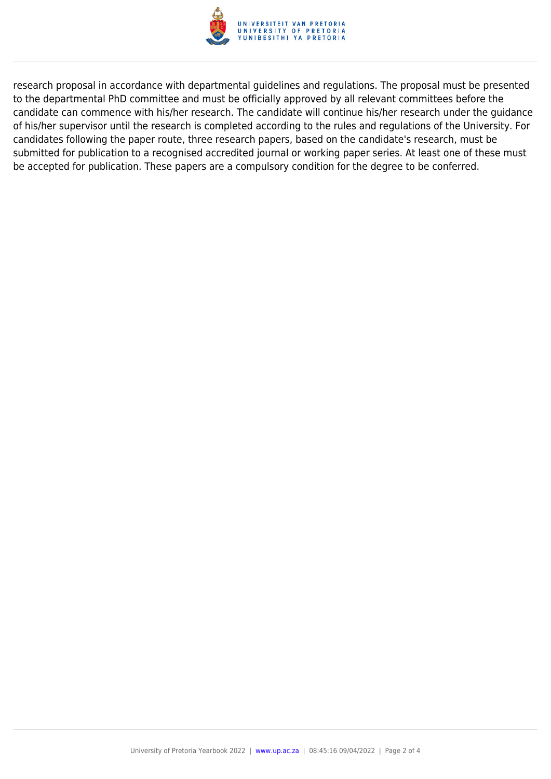

research proposal in accordance with departmental guidelines and regulations. The proposal must be presented to the departmental PhD committee and must be officially approved by all relevant committees before the candidate can commence with his/her research. The candidate will continue his/her research under the guidance of his/her supervisor until the research is completed according to the rules and regulations of the University. For candidates following the paper route, three research papers, based on the candidate's research, must be submitted for publication to a recognised accredited journal or working paper series. At least one of these must be accepted for publication. These papers are a compulsory condition for the degree to be conferred.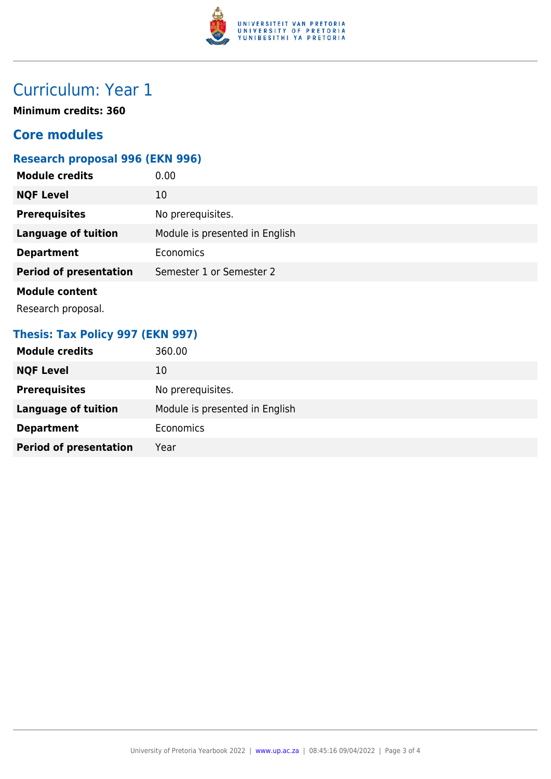

## Curriculum: Year 1

**Minimum credits: 360**

#### **Core modules**

#### **Research proposal 996 (EKN 996)**

| <b>Module credits</b>         | 0.00                           |
|-------------------------------|--------------------------------|
| <b>NQF Level</b>              | 10                             |
| <b>Prerequisites</b>          | No prerequisites.              |
| <b>Language of tuition</b>    | Module is presented in English |
| <b>Department</b>             | <b>Economics</b>               |
| <b>Period of presentation</b> | Semester 1 or Semester 2       |
| <b>Module content</b>         |                                |

Research proposal.

#### **Thesis: Tax Policy 997 (EKN 997)**

| <b>Module credits</b>         | 360.00                         |
|-------------------------------|--------------------------------|
| <b>NQF Level</b>              | 10                             |
| <b>Prerequisites</b>          | No prerequisites.              |
| <b>Language of tuition</b>    | Module is presented in English |
| <b>Department</b>             | <b>Economics</b>               |
| <b>Period of presentation</b> | Year                           |